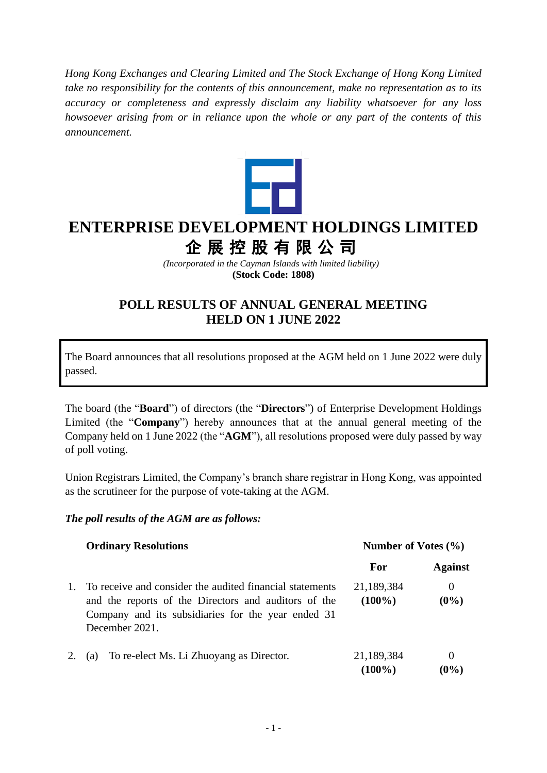*Hong Kong Exchanges and Clearing Limited and The Stock Exchange of Hong Kong Limited take no responsibility for the contents of this announcement, make no representation as to its accuracy or completeness and expressly disclaim any liability whatsoever for any loss howsoever arising from or in reliance upon the whole or any part of the contents of this announcement.*



## **ENTERPRISE DEVELOPMENT HOLDINGS LIMITED** 企展控股有限公司

*(Incorporated in the Cayman Islands with limited liability)* **(Stock Code: 1808)**

## **POLL RESULTS OF ANNUAL GENERAL MEETING HELD ON 1 JUNE 2022**

The Board announces that all resolutions proposed at the AGM held on 1 June 2022 were duly passed.

The board (the "**Board**") of directors (the "**Directors**") of Enterprise Development Holdings Limited (the "**Company**") hereby announces that at the annual general meeting of the Company held on 1 June 2022 (the "**AGM**"), all resolutions proposed were duly passed by way of poll voting.

Union Registrars Limited, the Company's branch share registrar in Hong Kong, was appointed as the scrutineer for the purpose of vote-taking at the AGM.

## *The poll results of the AGM are as follows:*

|  | <b>Ordinary Resolutions</b>                                                                                                                                                              | Number of Votes $(\% )$ |                     |
|--|------------------------------------------------------------------------------------------------------------------------------------------------------------------------------------------|-------------------------|---------------------|
|  |                                                                                                                                                                                          | For                     | <b>Against</b>      |
|  | To receive and consider the audited financial statements<br>and the reports of the Directors and auditors of the<br>Company and its subsidiaries for the year ended 31<br>December 2021. | 21,189,384<br>$(100\%)$ | $\theta$<br>$(0\%)$ |
|  | To re-elect Ms. Li Zhuoyang as Director.<br>(a)                                                                                                                                          | 21,189,384<br>$(100\%)$ | $\theta$<br>$(0\%)$ |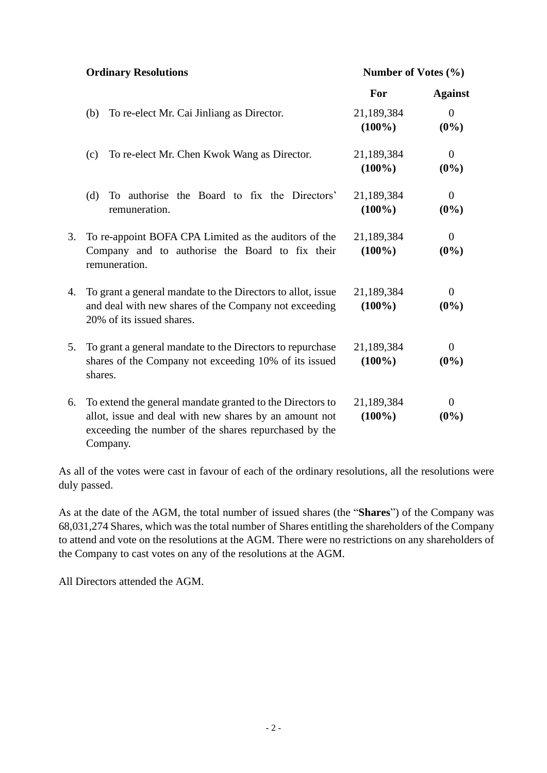**Ordinary Resolutions Number of Votes (%)**

|    |                                                                                                                                                                                          | For                     | <b>Against</b>            |
|----|------------------------------------------------------------------------------------------------------------------------------------------------------------------------------------------|-------------------------|---------------------------|
|    | To re-elect Mr. Cai Jinliang as Director.<br>(b)                                                                                                                                         | 21,189,384<br>$(100\%)$ | $\Omega$<br>$(0\%)$       |
|    | To re-elect Mr. Chen Kwok Wang as Director.<br>(c)                                                                                                                                       | 21,189,384<br>$(100\%)$ | $\overline{0}$<br>$(0\%)$ |
|    | To authorise the Board to fix the Directors'<br>(d)<br>remuneration.                                                                                                                     | 21,189,384<br>$(100\%)$ | $\overline{0}$<br>$(0\%)$ |
| 3. | To re-appoint BOFA CPA Limited as the auditors of the<br>Company and to authorise the Board to fix their<br>remuneration.                                                                | 21,189,384<br>$(100\%)$ | 0<br>$(0\%)$              |
| 4. | To grant a general mandate to the Directors to allot, issue<br>and deal with new shares of the Company not exceeding<br>20% of its issued shares.                                        | 21,189,384<br>$(100\%)$ | $\overline{0}$<br>$(0\%)$ |
| 5. | To grant a general mandate to the Directors to repurchase<br>shares of the Company not exceeding 10% of its issued<br>shares.                                                            | 21,189,384<br>$(100\%)$ | $\Omega$<br>$(0\%)$       |
| 6. | To extend the general mandate granted to the Directors to<br>allot, issue and deal with new shares by an amount not<br>exceeding the number of the shares repurchased by the<br>Company. | 21,189,384<br>$(100\%)$ | 0<br>$(0\%)$              |

As all of the votes were cast in favour of each of the ordinary resolutions, all the resolutions were duly passed.

As at the date of the AGM, the total number of issued shares (the "**Shares**") of the Company was 68,031,274 Shares, which was the total number of Shares entitling the shareholders of the Company to attend and vote on the resolutions at the AGM. There were no restrictions on any shareholders of the Company to cast votes on any of the resolutions at the AGM.

All Directors attended the AGM.